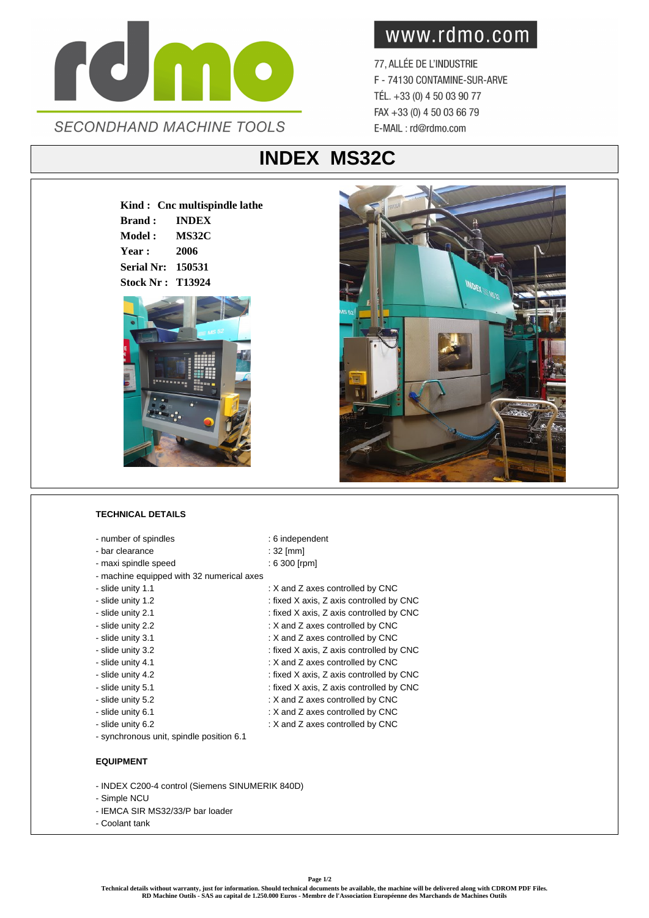

## www.rdmo.com

77, ALLÉE DE L'INDUSTRIE F - 74130 CONTAMINE-SUR-ARVE TÉL. +33 (0) 4 50 03 90 77 FAX +33 (0) 4 50 03 66 79 E-MAIL: rd@rdmo.com

## **INDEX MS32C**

**Kind : Cnc multispindle lathe Brand : INDEX Model : MS32C Year : 2006 Serial Nr: 150531 Stock Nr : T13924**





## **TECHNICAL DETAILS**

- number of spindles : 6 independent
- bar clearance : 32 [mm]
- maxi spindle speed : 6 300 [rpm]
- machine equipped with 32 numerical axes
- slide unity 1.1 **intervalled** by CNC : X and Z axes controlled by CNC
- slide unity 1.2 : fixed X axis, Z axis controlled by CNC
- slide unity 2.1 : fixed X axis, Z axis controlled by CNC
- 
- 
- 
- 
- 
- 
- 
- 
- 
- synchronous unit, spindle position 6.1

## **EQUIPMENT**

- INDEX C200-4 control (Siemens SINUMERIK 840D)
- Simple NCU
- IEMCA SIR MS32/33/P bar loader
- Coolant tank
- slide unity 2.2  $\cdot$  X and Z axes controlled by CNC - slide unity 3.1 : X and Z axes controlled by CNC
- slide unity 3.2 : fixed X axis, Z axis controlled by CNC - slide unity 4.1 : X and Z axes controlled by CNC
- slide unity 4.2 : fixed X axis, Z axis controlled by CNC
- slide unity 5.1 : fixed X axis, Z axis controlled by CNC
	-
- slide unity 5.2 : X and Z axes controlled by CNC
- slide unity 6.1 **:** X and Z axes controlled by CNC
- slide unity 6.2  $\cdot$  X and Z axes controlled by CNC

**Technical details without warranty, just for information. Should technical documents be available, the machine will be delivered along with CDROM PDF Files. RD Machine Outils - SAS au capital de 1.250.000 Euros - Membre de l'Association Européenne des Marchands de Machines Outils**